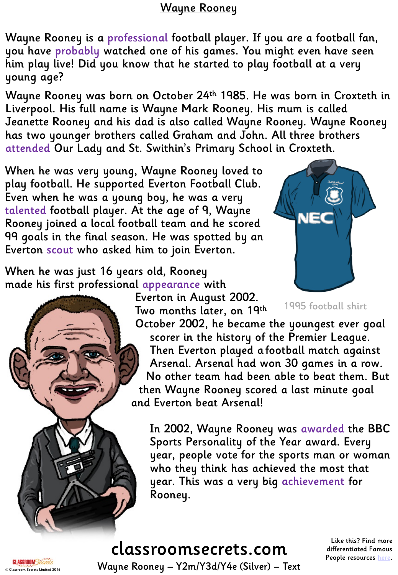# Wayne Rooney

Wayne Rooney is a professional football player. If you are a football fan, you have probably watched one of his games. You might even have seen him play live! Did you know that he started to play football at a very young age?

Wayne Rooney was born on October 24th 1985. He was born in Croxteth in Liverpool. His full name is Wayne Mark Rooney. His mum is called Jeanette Rooney and his dad is also called Wayne Rooney. Wayne Rooney has two younger brothers called Graham and John. All three brothers attended Our Lady and St. Swithin's Primary School in Croxteth.

When he was very young, Wayne Rooney loved to play football. He supported Everton Football Club. Even when he was a young boy, he was a very talented football player. At the age of 9, Wayne Rooney joined a local football team and he scored 99 goals in the final season. He was spotted by an Everton scout who asked him to join Everton.

When he was just 16 years old, Rooney made his first professional appearance with

Everton in August 2002. Two months later, on 19th



1995 football shirt

October 2002, he became the youngest ever goal scorer in the history of the Premier League. Then Everton played a football match against Arsenal. Arsenal had won 30 games in a row. No other team had been able to beat them. But then Wayne Rooney scored a last minute goal and Everton beat Arsenal!

In 2002, Wayne Rooney was awarded the BBC Sports Personality of the Year award. Every year, people vote for the sports man or woman who they think has achieved the most that year. This was a very big achievement for Rooney.

# classroomsecrets.com

Like this? Find more differentiated Famous People resources [here](http://www.classroomsecrets.co.uk/tag/famous-people).

**CLASSROOM Secrets Limited 2016** Wayne Rooney – Y2m/Y3d/Y4e (Silver) – Text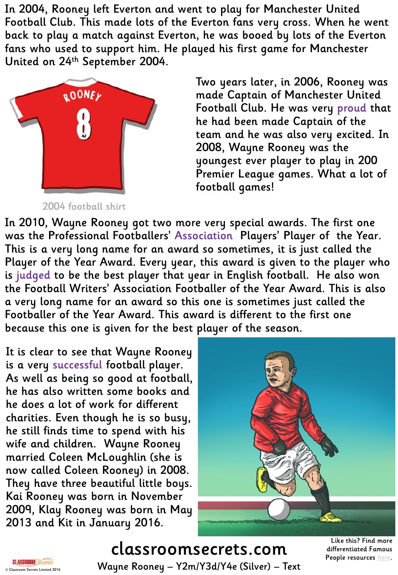In 2004, Rooney left Everton and went to play for Manchester United Football Club. This made lots of the Everton fans very cross. When he went back to play a match against Everton, he was booed by lots of the Everton fans who used to support him. He played his first game for Manchester United on 24th September 2004.



2004 football shirt

Two years later, in 2006, Rooney was made Captain of Manchester United Football Club. He was very proud that he had been made Captain of the team and he was also very excited. In 2008, Wayne Rooney was the youngest ever player to play in 200 Premier League games. What a lot of football games!

In 2010, Wayne Rooney got two more very special awards. The first one was the Professional Footballers' Association Players' Player of the Year. This is a very long name for an award so sometimes, it is just called the Player of the Year Award. Every year, this award is given to the player who is judged to be the best player that year in English football. He also won the Football Writers' Association Footballer of the Year Award. This is also a very long name for an award so this one is sometimes just called the Footballer of the Year Award. This award is different to the first one because this one is given for the best player of the season.

It is clear to see that Wayne Rooney is a very successful football player. As well as being so good at football, he has also written some books and he does a lot of work for different charities. Even though he is so busy, he still finds time to spend with his wife and children. Wayne Rooney married Coleen McLoughlin (she is now called Coleen Rooney) in 2008. They have three beautiful little boys. Kai Rooney was born in November 2009, Klay Rooney was born in May 2013 and Kit in January 2016.



# classroomsecrets.com © Classroom Secrets Limited 2016 Wayne Rooney – Y2m/Y3d/Y4e (Silver) – Text

Like this? Find more differentiated Famous People resources [here](http://www.classroomsecrets.co.uk/tag/famous-people).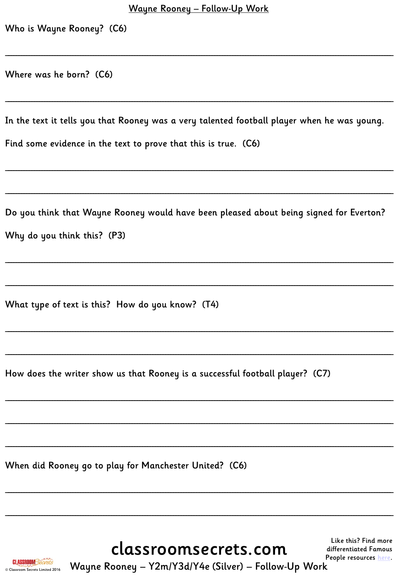|  | Who is Wayne Rooney? (C6) |  |
|--|---------------------------|--|
|  |                           |  |

Where was he born? (C6)

In the text it tells you that Rooney was a very talented football player when he was young.

Find some evidence in the text to prove that this is true. (C6)

Do you think that Wayne Rooney would have been pleased about being signed for Everton? Why do you think this? (P3)

What type of text is this? How do you know? (T4)

How does the writer show us that Rooney is a successful football player? (C7)

When did Rooney go to play for Manchester United? (C6)

classroomsecrets.com

Like this? Find more differentiated Famous People resources here.



Wayne Rooney - Y2m/Y3d/Y4e (Silver) - Follow-Up Work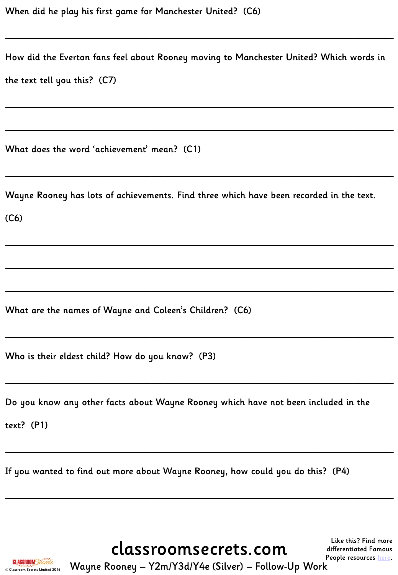| How did the Everton fans feel about Rooney moving to Manchester United? Which words in<br>the text tell you this? (C7) |
|------------------------------------------------------------------------------------------------------------------------|
|                                                                                                                        |
| What does the word 'achievement' mean? (C1)                                                                            |
| Wayne Rooney has lots of achievements. Find three which have been recorded in the text.<br>(C6)                        |
|                                                                                                                        |
| What are the names of Wayne and Coleen's Children? (C6)                                                                |
| Who is their eldest child? How do you know? (P3)                                                                       |
| Do you know any other facts about Wayne Rooney which have not been included in the<br>text? $(P1)$                     |

If you wanted to find out more about Wayne Rooney, how could you do this? (P4)

classroomsecrets.com



Wayne Rooney - Y2m/Y3d/Y4e (Silver) - Follow-Up Work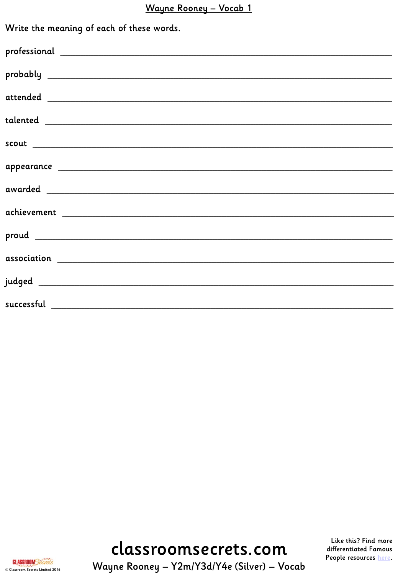# Wayne Rooney - Vocab 1

| Write the meaning of each of these words. |
|-------------------------------------------|
|                                           |
|                                           |
|                                           |
|                                           |
|                                           |
|                                           |
|                                           |
|                                           |
|                                           |
|                                           |
|                                           |
|                                           |

# classroomsecrets.com

Like this? Find more differentiated Famous People resources here.



Wayne Rooney - Y2m/Y3d/Y4e (Silver) - Vocab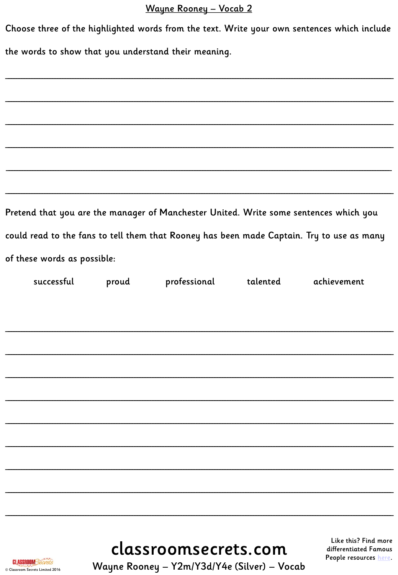## Wayne Rooney - Vocab 2

|                                                                                       | Choose three of the highlighted words from the text. Write your own sentences which include |              |          |                                                                                           |  |
|---------------------------------------------------------------------------------------|---------------------------------------------------------------------------------------------|--------------|----------|-------------------------------------------------------------------------------------------|--|
| the words to show that you understand their meaning.                                  |                                                                                             |              |          |                                                                                           |  |
|                                                                                       |                                                                                             |              |          |                                                                                           |  |
|                                                                                       |                                                                                             |              |          |                                                                                           |  |
|                                                                                       |                                                                                             |              |          |                                                                                           |  |
|                                                                                       |                                                                                             |              |          |                                                                                           |  |
|                                                                                       |                                                                                             |              |          |                                                                                           |  |
|                                                                                       |                                                                                             |              |          |                                                                                           |  |
| Pretend that you are the manager of Manchester United. Write some sentences which you |                                                                                             |              |          |                                                                                           |  |
|                                                                                       |                                                                                             |              |          | could read to the fans to tell them that Rooney has been made Captain. Try to use as many |  |
| of these words as possible:                                                           |                                                                                             |              |          |                                                                                           |  |
| successful                                                                            | proud                                                                                       | professional | talented | achievement                                                                               |  |
|                                                                                       |                                                                                             |              |          |                                                                                           |  |
|                                                                                       |                                                                                             |              |          |                                                                                           |  |
|                                                                                       |                                                                                             |              |          |                                                                                           |  |
|                                                                                       |                                                                                             |              |          |                                                                                           |  |
|                                                                                       |                                                                                             |              |          |                                                                                           |  |
|                                                                                       |                                                                                             |              |          |                                                                                           |  |
|                                                                                       |                                                                                             |              |          |                                                                                           |  |
|                                                                                       |                                                                                             |              |          |                                                                                           |  |
|                                                                                       |                                                                                             |              |          |                                                                                           |  |
|                                                                                       |                                                                                             |              |          |                                                                                           |  |

classroomsecrets.com

Like this? Find more differentiated Famous People resources here.

**CLASSROOM** Secrets © Classroom Secrets Limited 2016

Wayne Rooney - Y2m/Y3d/Y4e (Silver) - Vocab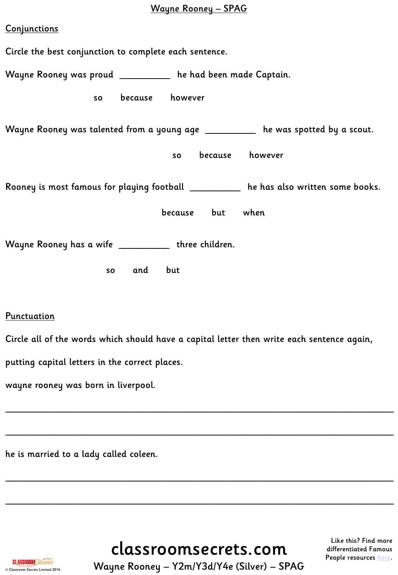## Wayne Rooney – SPAG

| <b>Conjunctions</b>                                                                   |  |  |  |
|---------------------------------------------------------------------------------------|--|--|--|
| Circle the best conjunction to complete each sentence.                                |  |  |  |
| Wayne Rooney was proud ___________ he had been made Captain.                          |  |  |  |
| because however<br>so                                                                 |  |  |  |
| Wayne Rooney was talented from a young age ___________ he was spotted by a scout.     |  |  |  |
| because however<br><b>SO</b>                                                          |  |  |  |
| Rooney is most famous for playing football __________ he has also written some books. |  |  |  |
| because but when                                                                      |  |  |  |
| Wayne Rooney has a wife ____________ three children.                                  |  |  |  |
| so and but                                                                            |  |  |  |
|                                                                                       |  |  |  |

#### **Punctuation**

Circle all of the words which should have a capital letter then write each sentence again,

\_\_\_\_\_\_\_\_\_\_\_\_\_\_\_\_\_\_\_\_\_\_\_\_\_\_\_\_\_\_\_\_\_\_\_\_\_\_\_\_\_\_\_\_\_\_\_\_\_\_\_\_\_\_\_\_\_\_\_\_\_\_\_\_\_\_\_\_\_\_\_\_\_\_\_\_\_\_\_\_\_\_\_\_\_\_\_\_\_\_\_\_\_\_\_\_\_\_\_\_\_\_\_\_\_\_\_\_\_\_\_\_\_\_\_\_\_\_\_\_\_\_\_\_\_\_\_\_\_\_\_\_\_\_\_\_\_\_\_\_\_\_\_\_\_\_\_\_\_\_

\_\_\_\_\_\_\_\_\_\_\_\_\_\_\_\_\_\_\_\_\_\_\_\_\_\_\_\_\_\_\_\_\_\_\_\_\_\_\_\_\_\_\_\_\_\_\_\_\_\_\_\_\_\_\_\_\_\_\_\_\_\_\_\_\_\_\_\_\_\_\_\_\_\_\_\_\_\_\_\_\_\_\_\_\_\_\_\_\_\_\_\_\_\_\_\_\_\_\_\_\_\_\_\_\_\_\_\_\_\_\_\_\_\_\_\_\_\_\_\_\_\_\_\_\_\_\_\_\_\_\_\_\_\_\_\_\_\_\_\_\_\_\_\_\_\_\_\_\_\_

\_\_\_\_\_\_\_\_\_\_\_\_\_\_\_\_\_\_\_\_\_\_\_\_\_\_\_\_\_\_\_\_\_\_\_\_\_\_\_\_\_\_\_\_\_\_\_\_\_\_\_\_\_\_\_\_\_\_\_\_\_\_\_\_\_\_\_\_\_\_\_\_\_\_\_\_\_\_\_\_\_\_\_\_\_\_\_\_\_\_\_\_\_\_\_\_\_\_\_\_\_\_\_\_\_\_\_\_\_\_\_\_\_\_\_\_\_\_\_\_\_\_\_\_\_\_\_\_\_\_\_\_\_\_\_\_\_\_\_\_\_\_\_\_\_\_\_\_\_\_

\_\_\_\_\_\_\_\_\_\_\_\_\_\_\_\_\_\_\_\_\_\_\_\_\_\_\_\_\_\_\_\_\_\_\_\_\_\_\_\_\_\_\_\_\_\_\_\_\_\_\_\_\_\_\_\_\_\_\_\_\_\_\_\_\_\_\_\_\_\_\_\_\_\_\_\_\_\_\_\_\_\_\_\_\_\_\_\_\_\_\_\_\_\_\_\_\_\_\_\_\_\_\_\_\_\_\_\_\_\_\_\_\_\_\_\_\_\_\_\_\_\_\_\_\_\_\_\_\_\_\_\_\_\_\_\_\_\_\_\_\_\_\_\_\_\_\_\_\_\_

putting capital letters in the correct places.

wayne rooney was born in liverpool.

he is married to a lady called coleen.

classroomsecrets.com

Like this? Find more differentiated Famous People resources [here](http://www.classroomsecrets.co.uk/tag/famous-people).



**CLASSROOM Secrets Limited 2016** Wayne Rooney – Y2m/Y3d/Y4e (Silver) – SPAG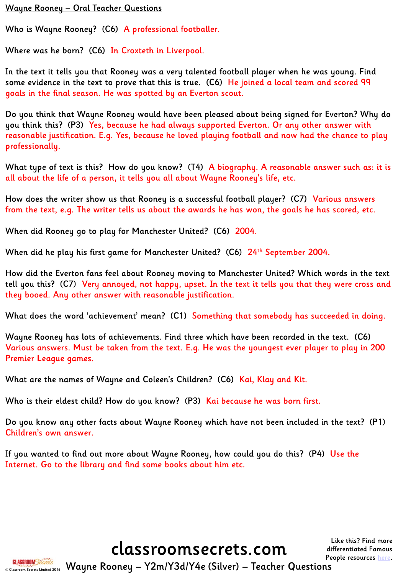#### Wayne Rooney – Oral Teacher Questions

Who is Wayne Rooney? (C6) A professional footballer.

Where was he born? (C6) In Croxteth in Liverpool.

In the text it tells you that Rooney was a very talented football player when he was young. Find some evidence in the text to prove that this is true. (C6) He joined a local team and scored 99 goals in the final season. He was spotted by an Everton scout.

Do you think that Wayne Rooney would have been pleased about being signed for Everton? Why do you think this? (P3) Yes, because he had always supported Everton. Or any other answer with reasonable justification. E.g. Yes, because he loved playing football and now had the chance to play professionally.

What type of text is this? How do you know? (T4) A biography. A reasonable answer such as: it is all about the life of a person, it tells you all about Wayne Rooney's life, etc.

How does the writer show us that Rooney is a successful football player? (C7) Various answers from the text, e.g. The writer tells us about the awards he has won, the goals he has scored, etc.

When did Rooney go to play for Manchester United? (C6) 2004.

When did he play his first game for Manchester United? (C6) 24th September 2004.

How did the Everton fans feel about Rooney moving to Manchester United? Which words in the text tell you this? (C7) Very annoyed, not happy, upset. In the text it tells you that they were cross and they booed. Any other answer with reasonable justification.

What does the word 'achievement' mean? (C1) Something that somebody has succeeded in doing.

Wayne Rooney has lots of achievements. Find three which have been recorded in the text. (C6) Various answers. Must be taken from the text. E.g. He was the youngest ever player to play in 200 Premier League games.

What are the names of Wayne and Coleen's Children? (C6) Kai, Klay and Kit.

Who is their eldest child? How do you know? (P3) <mark>Kai because he was born firs</mark>t.

Do you know any other facts about Wayne Rooney which have not been included in the text? (P1) Children's own answer.

If you wanted to find out more about Wayne Rooney, how could you do this? (P4) Use the Internet. Go to the library and find some books about him etc.

classroomsecrets.com

Like this? Find more differentiated Famous People resources [here](http://www.classroomsecrets.co.uk/tag/famous-people).



**CLASSROOM Secrets Limited 2016** Wayne Rooney – Y2m/Y3d/Y4e (Silver) – Teacher Questions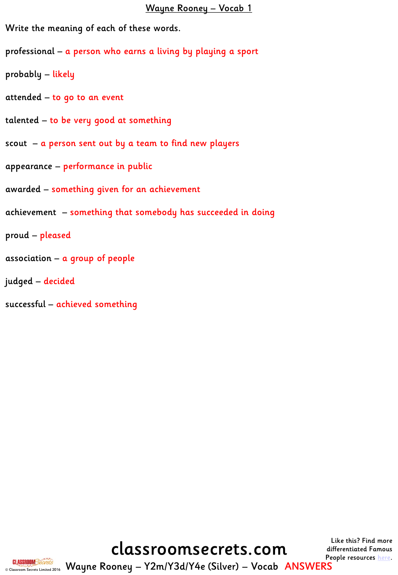#### Wayne Rooney – Vocab 1

Write the meaning of each of these words.

professional – a person who earns a living by playing a sport

probably – likely

attended – to go to an event

talented – to be very good at something

scout – a person sent out by a team to find new players

appearance – performance in public

awarded – something given for an achievement

achievement – something that somebody has succeeded in doing

proud – pleased

association – a group of people

judged – decided

successful – achieved something

classroomsecrets.com

Like this? Find more differentiated Famous People resources [here](http://www.classroomsecrets.co.uk/tag/famous-people).



© Classroom Secrets Limited 2016 Wayne Rooney – Y2m/Y3d/Y4e (Silver) – Vocab ANSWERS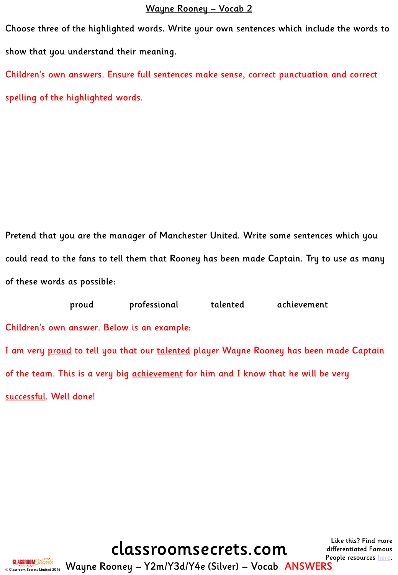#### Wayne Rooney – Vocab 2

Choose three of the highlighted words. Write your own sentences which include the words to show that you understand their meaning. Children's own answers. Ensure full sentences make sense, correct punctuation and correct

spelling of the highlighted words.

Pretend that you are the manager of Manchester United. Write some sentences which you could read to the fans to tell them that Rooney has been made Captain. Try to use as many of these words as possible:

proud professional talented achievement Children's own answer. Below is an example: I am very proud to tell you that our talented player Wayne Rooney has been made Captain of the team. This is a very big achievement for him and I know that he will be very successful. Well done!

classroomsecrets.com

Like this? Find more differentiated Famous People resources [here](http://www.classroomsecrets.co.uk/tag/famous-people).



© Classroom Secrets Limited 2016 Wayne Rooney – Y2m/Y3d/Y4e (Silver) – Vocab ANSWERS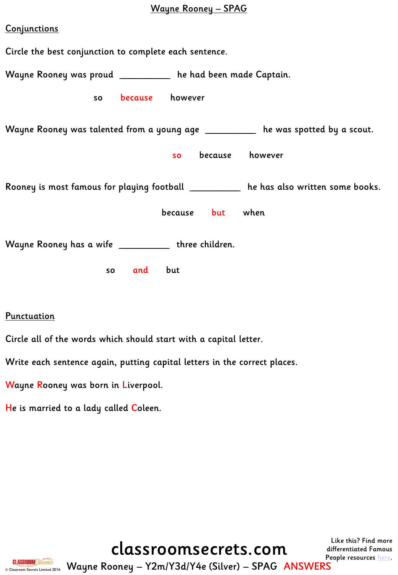# Wayne Rooney – SPAG

| Conjunctions                                                                           |  |  |  |  |
|----------------------------------------------------------------------------------------|--|--|--|--|
| Circle the best conjunction to complete each sentence.                                 |  |  |  |  |
| Wayne Rooney was proud ___________ he had been made Captain.                           |  |  |  |  |
| because however<br>so                                                                  |  |  |  |  |
| Wayne Rooney was talented from a young age ___________ he was spotted by a scout.      |  |  |  |  |
| because however<br><b>SO</b>                                                           |  |  |  |  |
| Rooney is most famous for playing football ___________ he has also written some books. |  |  |  |  |
| because but when                                                                       |  |  |  |  |
| Wayne Rooney has a wife _____________ three children.                                  |  |  |  |  |
| so and but                                                                             |  |  |  |  |

Punctuation

Circle all of the words which should start with a capital letter.

Write each sentence again, putting capital letters in the correct places.

Wayne Rooney was born in Liverpool.

He is married to a lady called Coleen.

classroomsecrets.com

Like this? Find more differentiated Famous People resources [here](http://www.classroomsecrets.co.uk/tag/famous-people).



© Classroom Secrets Limited 2016 Wayne Rooney – Y2m/Y3d/Y4e (Silver) – SPAG ANSWERS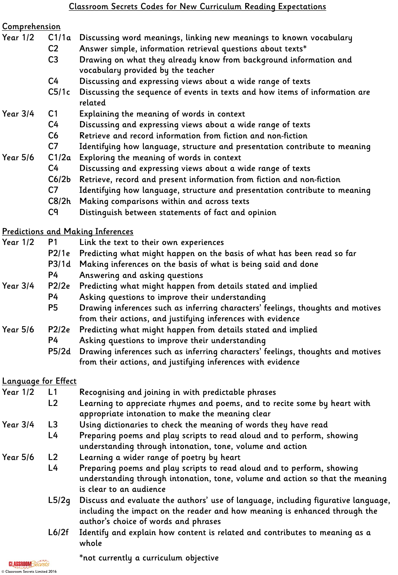#### Comprehension

- Year 1/2 C1/1a Discussing word meanings, linking new meanings to known vocabulary
	- C2 Answer simple, information retrieval questions about texts\* C3 Drawing on what they already know from background information and
		- vocabulary provided by the teacher
		- C4 Discussing and expressing views about a wide range of texts
	- C5/1c Discussing the sequence of events in texts and how items of information are related

### Year 3/4 C1 Explaining the meaning of words in context

- C4 Discussing and expressing views about a wide range of texts
- C6 Retrieve and record information from fiction and non-fiction
- C7 Identifying how language, structure and presentation contribute to meaning
- Year 5/6 C1/2a Exploring the meaning of words in context
	- C4 Discussing and expressing views about a wide range of texts
	- C6/2b Retrieve, record and present information from fiction and non-fiction
	- C7 Identifying how language, structure and presentation contribute to meaning
	- C8/2h Making comparisons within and across texts
	- C9 Distinguish between statements of fact and opinion

## Predictions and Making Inferences

| <b>Year 1/2</b> | P1    | Link the text to their own experiences                                          |
|-----------------|-------|---------------------------------------------------------------------------------|
|                 | P2/1e | Predicting what might happen on the basis of what has been read so far          |
|                 | P3/1d | Making inferences on the basis of what is being said and done                   |
|                 | P4    | Answering and asking questions                                                  |
| <b>Year 3/4</b> | P2/2e | Predicting what might happen from details stated and implied                    |
|                 | P4    | Asking questions to improve their understanding                                 |
|                 | P5    | Drawing inferences such as inferring characters' feelings, thoughts and motives |
|                 |       | from their actions, and justifying inferences with evidence                     |
| <b>Year 5/6</b> | P2/2e | Predicting what might happen from details stated and implied                    |
|                 | P4    | Asking questions to improve their understanding                                 |
|                 | P5/2d | Drawing inferences such as inferring characters' feelings, thoughts and motives |
|                 |       | from their actions, and justifying inferences with evidence                     |

## Language for Effect

| <b>Year 1/2</b> | L1             | Recognising and joining in with predictable phrases                                                                                                                                                     |
|-----------------|----------------|---------------------------------------------------------------------------------------------------------------------------------------------------------------------------------------------------------|
|                 | L <sub>2</sub> | Learning to appreciate rhymes and poems, and to recite some by heart with                                                                                                                               |
|                 |                | appropriate intonation to make the meaning clear                                                                                                                                                        |
| <b>Year 3/4</b> | L <sub>3</sub> | Using dictionaries to check the meaning of words they have read                                                                                                                                         |
|                 | L4             | Preparing poems and play scripts to read aloud and to perform, showing                                                                                                                                  |
|                 |                | understanding through intonation, tone, volume and action                                                                                                                                               |
| <b>Year 5/6</b> | L2             | Learning a wider range of poetry by heart                                                                                                                                                               |
|                 | L4             | Preparing poems and play scripts to read aloud and to perform, showing                                                                                                                                  |
|                 |                | understanding through intonation, tone, volume and action so that the meaning                                                                                                                           |
|                 |                | is clear to an audience                                                                                                                                                                                 |
|                 | L5/2q          | Discuss and evaluate the authors' use of language, including figurative language,<br>including the impact on the reader and how meaning is enhanced through the<br>author's choice of words and phrases |
|                 |                |                                                                                                                                                                                                         |

L6/2f Identify and explain how content is related and contributes to meaning as a whole